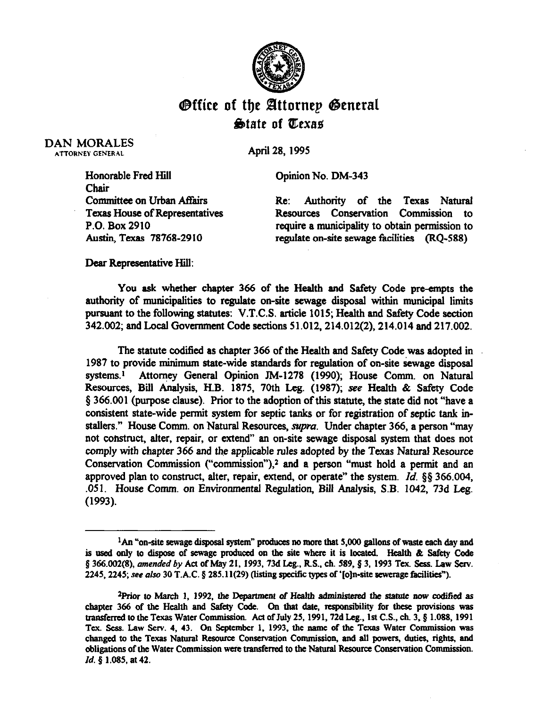

## Office of the Attornep General  $\bigcirc$  atate of Texas

DAN MORALES ATTORNEY GENERAL

April 28, 1995

Honorable Fred Hill Chair Committee on Urban Affairs Texas House of Representatives P.O. Box 2910 Austin, Texas 78768-2910

Opinion No. DM-343

Re: Authority of the Texas Natural Resources Conservation Commission to require a municipality to obtain permission to

regulate on-site sewage facilities (RQ-588)

Dear Representative Hill:

You ask whether chapter 366 of the Health and Safety Code pre-empts the authority of municipalities to regulate on-site sewage disposal within municipal limits pursuant to the following statutes: V.T.C.S. article 1015; Health and Safety Code section *342.002;* and Local Government Code sections 51.012,214.012(2), 214.014 and 217.002.

The statute codified as chapter 366 of the Health and Safety Code was adopted in 1987 to provide minimum state-wide standards for regulation of on-site sewage disposal systems.' Attorney General Opinion TM-1278 (1990); House Comm. on Natural Resources, Biil Analysis, H.B. 1875, 70th Leg. (1987); see Health & Safety Code 4 366.001 (purpose clause). Prior to the adoption of this statute, the state did not "have a consistent state-wide permit system for septic tanks or for registration of septic tank installers." House Comm. on Natural Resources, *supra.* Under chapter 366, a person "may not construct, alter, repair, or extend" an on-site sewage disposal system that does not comply with chapter 366 and the applicable rules adopted by the Texas Natural Resource Conservation Commission ("commission"), $2$  and a person "must hold a permit and an approved plan to construct, alter, repair, extend, or operate" the system. *Id. \$5 366.004,*  .051. House Comm. on Environmental Regulation, Bill Analysis, S.B. 1042, 73d Leg. (1993).

<sup>&</sup>lt;sup>1</sup>An "on-site sewage disposal system" produces no more that 5,000 gallons of waste each day and is used only to dispose of sewage produced on the site where it is located. Health & Safety Code **5 366.002(8),** *amended by Act* **of May 21, 1993,13d Leg., RS., ch. 589,\$3, 1993 Tex. Sees. Law Serv.**  2245, 2245; see also 30 T.A.C. § 285.11(29) (listing specific types of '[o]n-site sewerage facilities").

<sup>&</sup>lt;sup>2</sup>Prior to March 1, 1992, the Department of Health administered the statute now codified as chapter 366 of the Health and Safety Code. On that date, responsibility for these provisions was **uansferred to the Texas Water Commission. Act of July 25,1991,72d Leg., 1st C.S., ch. 3.8 1.088, 1991**  Tex. Sess. Law Serv. 4, 43. On September 1, 1993, the name of the Texas Water Commission was changed to the Texas Natural Resource Conservation Commission, and all powers, duties, rights, and **obligations of the Water Commission were transferred to the Natural Resource Conservation Commission.** *Id.* § 1.085, at 42.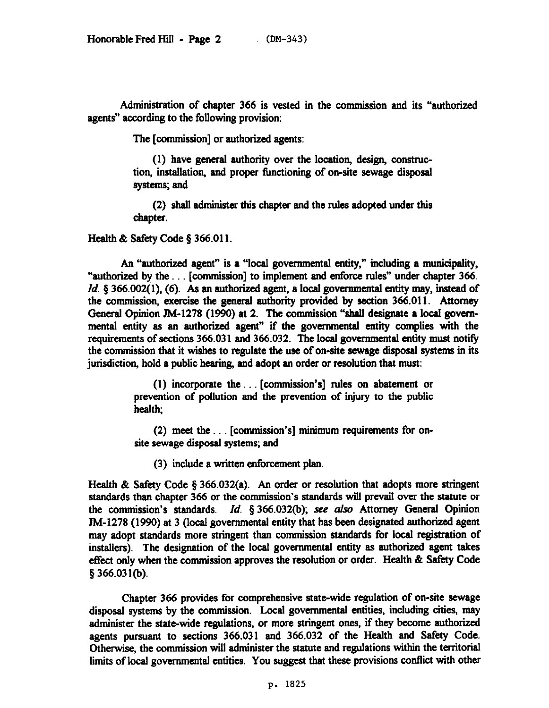Administration of chapter 366 is vested in the commission and its "authorized agents" according to the following provision:

The [commission] or authorized agents:

(1) have general authority over the location, design, construction, installation, and proper functioning of on-site sewage disposal systems; and

(2) shall administer this chapter and the rules adopted under this chapter.

Health & Safety Code § 366.011.

An "authotized agent" is a "local governmental entity," including a municipality, "authorized by the. . [commission] to implement and enforce rules" under chapter 366. *Id.*  $\S$  366.002(1), (6). As an authorized agent, a local governmental entity may, instead of the commission, exercise the general authority provided by section 366.011. Attorney Oeneral Opinion TM-1278 (1990) at 2. The commission "shall designate a local governmental entity as an authorized agent" if the governmental entity complies with the requirements of sections 366.031 and 366.032. The local governmental entity must notify the commission that it wishes to regulate the use of on-site sewage disposal systems in its jurisdiction, hold a public hearing, and adopt an order or resolution that must:

> $(1)$  incorporate the ... [commission's] rules on abatement or prevention of pollution and the prevention of injury to the public health;

> (2) meet the  $\dots$  [commission's] minimum requirements for onsite sewage disposal systems; and

(3) include a written enforcement plan.

Health & Safety Code § 366.032(a). An order or resolution that adopts more stringent standards than chapter 366 or the commission's standards will prevail over the statute or the wmmission's standards. *Id. 5 366.032(b); see ulso* Attorney General Opinion JM-1278 (1990) at 3 (local governmental entity that has been designated authorized agent may adopt standards more stringent than commission standards for local registration of installers). The designation of the local governmental entity as authorized agent takes effect only when the commission approves the resolution or order. Health & Safety Code *g366.03qb).* 

Chapter 366 provides for comprehensive state-wide regulation of on-site sewage disposal systems by the commission. Local governmental entities, including cities, may administer the state-wide regulations, or more stringent ones, if they become authorized agents pursuant to sections 366.031 and 366.032 of the Health and Safety Code. Otherwise, the commission will administer the statute and regulations within the territorial limits of local governmental entities. You suggest that these provisions conflict with other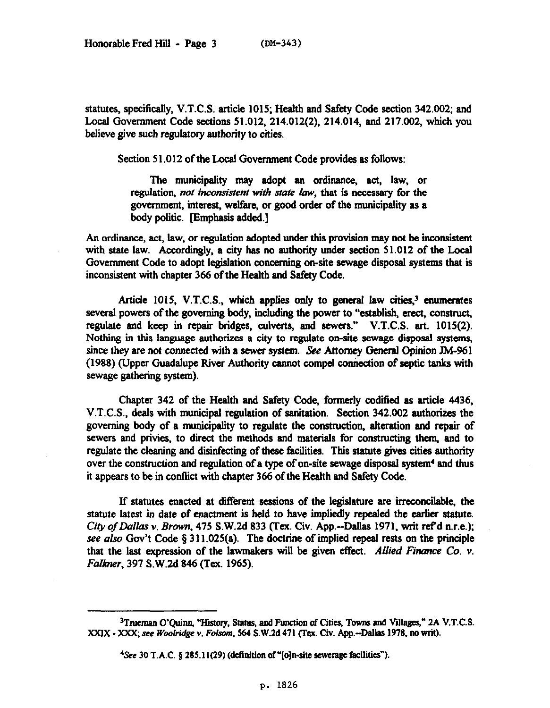statutes, specifically, V.T.C.S. article 1015; Health and Safety Code section 342.002; and Local Government Code sections 51.012, 214.012(2), 214.014, and 217.002, which you believe give such regulatory authority to cities.

Section 51.012 of the Local Govemment Code provides as follows:

The municipality may adopt an ordinance, act, law, or regulation, not inconsistent with state law, that is necessary for the govermnent, interest, welfare, or good order of the municipality as a body politic. [Emphasis added.]

An ordinance, act, law, or regulation adopted under this provision may not be inconsistent with state law. Accordingly, a city has no authority under section 51.012 of the Local Government Code to adopt legislation concerning on-site sewage disposal systems that is inconsistent with chapter 366 of the Health and Safety Code.

Article 1015, V.T.C.S., which applies only to general law cities,<sup>3</sup> enumerates several powers of the governing body, including the power to "establish, erect, construct, regulate and keep in repair bridges, culverts, and sewers." V.T.C.S. art. 1015(2). Nothing in this language authorizes a city to regulate on-site sewage disposal systems, since they are not connected with a sewer system. See Attorney General Opinion JM-961 (1988) (Upper Guadalupe River Authority cannot compel connection of septic tanks with sewage gathering system).

Chapter 342 of the Health and Safety Code, formerly codified as article 4436, V.T.C.S., deals with municipal regulation of sanitation. Section 342.002 authorizes the governing body of a municipality to regulate the wnstruction, alteration and repair of sewers and privies, to direct the methods and materials for constructing them, and to regulate the cleaning and disinfecting of these facilities. This statute gives cities authority over the construction and regulation of a type of on-site sewage disposal system' and thus it appears to be in conflict with chapter 366 of the Health and Safety Code.

If statutes enacted at different sessions of the legislature are irreconcilable, the statute latest in date of enactment is held to have impliedly repealed the earlier statute. *Ciry of Dallas Y. Brown, 475* S.W.2d 833 (Tex. Civ. App.-Dallas 1971, writ refd n.r.e.); see also Gov't Code  $\S 311.025(a)$ . The doctrine of implied repeal rests on the principle that the last expression of the lawmakers will be given effect. Allied Finance Co. v. *Falkner, 397* S.W.2d 846 (Tex. 1965).

<sup>&</sup>lt;sup>3</sup>Trueman O'Quinn, "History, Status, and Function of Cities, Towns and Villages," 2A V.T.C.S. *XXlX - XXX; see Woo/ridge v. Folsorn, 564 S.W.2d* **471 (Tcx. Civ. App.-Dallas 1978, no tit).** 

<sup>&</sup>lt;sup>4</sup>See 30 T.A.C. § 285.11(29) (definition of "[o]n-site sewerage facilities").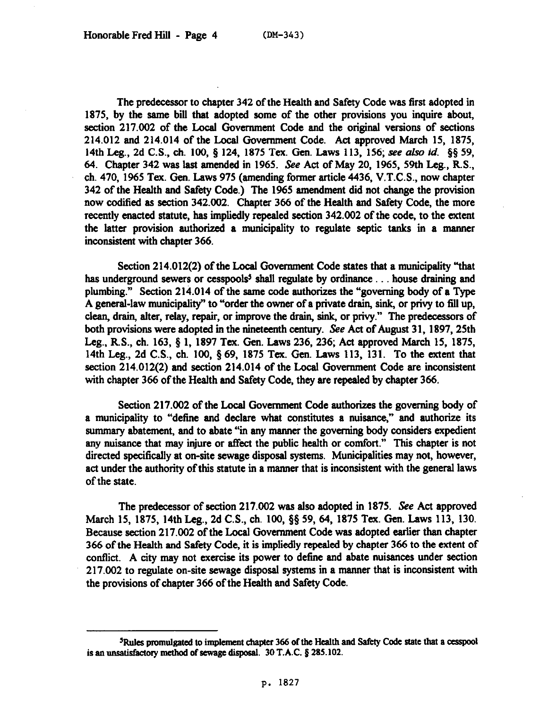The predecessor to chapter 342 of the Health and Safety Code was first adopted in 1875, by the same bill that adopted some of the other provisions you inquire about, section 217.002 of the Local Government Code and the original versions of sections 214.012 and 214.014 of the Local Government Code. Act approved March 15, 1875, 14th Leg., 2d C.S., ch. 100, § 124, 1875 Tex. Gen. Laws 113, 156; see also id. §§ 59, 64. Chapter 342 was last amended in 1965. See Act of May 20, 1965, 59th Leg., R.S., ch. 470, 1965 Tex. Gen. Laws 975 (amending former article 4436, V.T.C.S., now chapter 342 of the Health and Safety Code.) The 1965 amendment did not change the provision now codified as section 342.002. Chapter 366 of the Health and Safety Code, the more recently enacted statute, has impliedly repealed section 342.002 of the code, to the extent the latter provision authorized a municipality to regulate septic tanks in a manner inconsistent with chapter 366.

Section 214.012(2) of the Local Govemment Code states that a municipality "that has underground sewers or cesspools<sup>5</sup> shall regulate by ordinance . . . house draining and plumbing." Section 214.014 of the same code authorizes the "governing body of a Type A general-law municipality" to "order the owner of a private drain, sink, or privy to fill up, clean, drain, alter, relay, repair, or improve the drain, sink, or privy." The predecessors of both provisions were adopted in the nineteenth century. See Act of August 31, 1897, 25th Leg., R.S., ch. 163, § 1. 1897 Tex. Gen. Laws 236, 236; Act approved March 15, 1875, 14th Leg., 2d C.S., ch. 100, 5 69, 1875 Tex. Gen. Laws 113, 131. To the extent that **section** 214.012(2) and section 214.014 of the Local Government Code are inconsistent with chapter 366 of the Health and Safety Code, they are repealed by chapter 366.

Section 217.082 of the Local Govermnent Code authorizes the governing body of a municipality to "define and declare what constitutes a nuisance," and authorize its summary abatement, and to abate "in any manner the governing body considers expedient any nuisance that may injure or affect the public health or comfort." This chapter is not directed specifically at on-site sewage disposal systems. Municipalities may not, however, act under the authority of this statute in a manner that is inconsistent with the general laws of the state.

The predecessor of section 217.002 was also adopted in 1875. See Act approved March IS, 1875, 14th Leg., 2d C.S., ch. 100, \$8 59, 64, 1875 Tex. Gen. Laws 113. 130. Because section 217.002 of the Local Government Code was adopted earlier than chapter 366 of the Health and Safety Code, it is impliedly repealed by chapter 366 to the extent of conflict. A city may not exercise its power to define and abate nuisances under section 217.002 to regulate on-site sewage disposal systems in a manner that is inconsistent with the provisions of chapter 366 of the Health and Safety Code.

<sup>&</sup>lt;sup>5</sup>Rules promulgated to implement chapter 366 of the Health and Safety Code state that a cesspool is an unsatisfactory method of sewage disposal. 30 T.A.C. § 285.102.